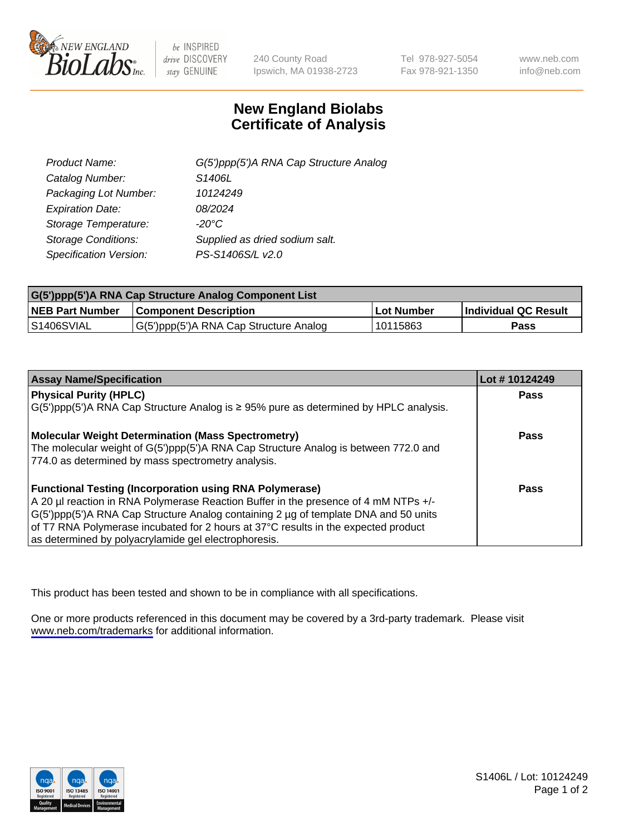

be INSPIRED drive DISCOVERY stay GENUINE

240 County Road Ipswich, MA 01938-2723 Tel 978-927-5054 Fax 978-921-1350

www.neb.com info@neb.com

## **New England Biolabs Certificate of Analysis**

| G(5')ppp(5')A RNA Cap Structure Analog |
|----------------------------------------|
| S1406L                                 |
| 10124249                               |
| 08/2024                                |
| $-20^{\circ}$ C                        |
| Supplied as dried sodium salt.         |
| PS-S1406S/L v2.0                       |
|                                        |

| G(5')ppp(5')A RNA Cap Structure Analog Component List |                                        |              |                             |  |
|-------------------------------------------------------|----------------------------------------|--------------|-----------------------------|--|
| <b>NEB Part Number</b>                                | <b>Component Description</b>           | . Lot Number | <b>Individual QC Result</b> |  |
| S1406SVIAL                                            | G(5')ppp(5')A RNA Cap Structure Analog | 10115863     | Pass                        |  |

| <b>Assay Name/Specification</b>                                                              | Lot #10124249 |
|----------------------------------------------------------------------------------------------|---------------|
| <b>Physical Purity (HPLC)</b>                                                                | <b>Pass</b>   |
| $G(5')$ ppp(5')A RNA Cap Structure Analog is $\geq$ 95% pure as determined by HPLC analysis. |               |
| <b>Molecular Weight Determination (Mass Spectrometry)</b>                                    | <b>Pass</b>   |
| The molecular weight of G(5')ppp(5')A RNA Cap Structure Analog is between 772.0 and          |               |
| 774.0 as determined by mass spectrometry analysis.                                           |               |
| <b>Functional Testing (Incorporation using RNA Polymerase)</b>                               | <b>Pass</b>   |
| A 20 µl reaction in RNA Polymerase Reaction Buffer in the presence of 4 mM NTPs +/-          |               |
| G(5')ppp(5')A RNA Cap Structure Analog containing 2 µg of template DNA and 50 units          |               |
| of T7 RNA Polymerase incubated for 2 hours at 37°C results in the expected product           |               |
| as determined by polyacrylamide gel electrophoresis.                                         |               |

This product has been tested and shown to be in compliance with all specifications.

One or more products referenced in this document may be covered by a 3rd-party trademark. Please visit <www.neb.com/trademarks>for additional information.